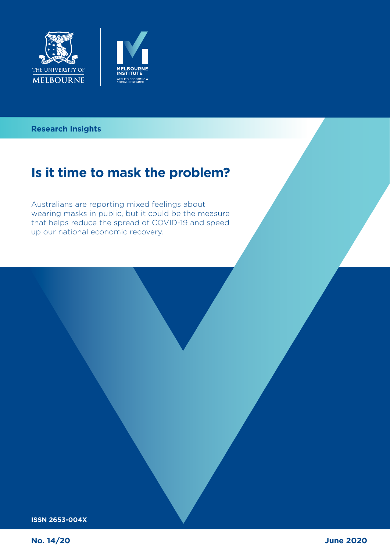



### **Can the tax system in the tax system in the tax system in the tax system in the tax system in the tax system in Research Insights**

# **Is it time to mask the problem?**

Australians are reporting mixed feelings about wearing masks in public, but it could be the measure that helps reduce the spread of COVID-19 and speed up our national economic recovery.

**ISSN 2653-004X**

**No. 14/20**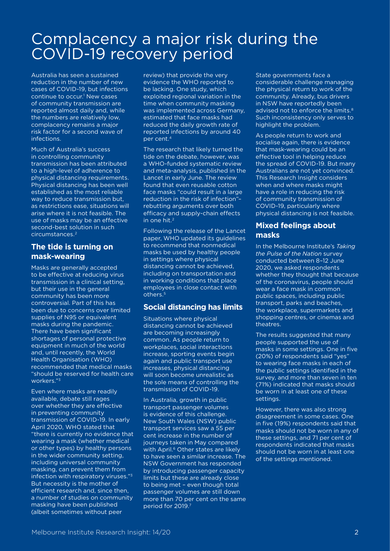### Complacency a major risk during the COVID-19 recovery period

Australia has seen a sustained reduction in the number of new cases of COVID-19, but infections continue to occur.<sup>1</sup> New cases of community transmission are reported almost daily and, while the numbers are relatively low, complacency remains a major risk factor for a second wave of infections.

Much of Australia's success in controlling community transmission has been attributed to a high-level of adherence to physical distancing requirements. Physical distancing has been well established as the most reliable way to reduce transmission but, as restrictions ease, situations will arise where it is not feasible. The use of masks may be an effective second-best solution in such circumstances.2

#### **The tide is turning on mask-wearing**

Masks are generally accepted to be effective at reducing virus transmission in a clinical setting, but their use in the general community has been more controversial. Part of this has been due to concerns over limited supplies of N95 or equivalent masks during the pandemic. There have been significant shortages of personal protective equipment in much of the world and, until recently, the World Health Organisation (WHO) recommended that medical masks "should be reserved for health care workers."3

Even where masks are readily available, debate still rages over whether they are effective in preventing community transmission of COVID-19. In early April 2020, WHO stated that "there is currently no evidence that wearing a mask (whether medical or other types) by healthy persons in the wider community setting, including universal community masking, can prevent them from infection with respiratory viruses."3 But necessity is the mother of efficient research and, since then, a number of studies on community masking have been published (albeit sometimes without peer

review) that provide the very evidence the WHO reported to be lacking. One study, which exploited regional variation in the time when community masking was implemented across Germany, estimated that face masks had reduced the daily growth rate of reported infections by around 40 per cent.<sup>4</sup>

The research that likely turned the tide on the debate, however, was a WHO-funded systematic review and meta*-*analysis, published in the Lancet in early June. The review found that even reusable cotton face masks "could result in a large reduction in the risk of infection"– rebutting arguments over both efficacy and supply-chain effects in one hit.2

Following the release of the Lancet paper, WHO updated its guidelines to recommend that nonmedical masks be used by healthy people in settings where physical distancing cannot be achieved, including on transportation and in working conditions that place employees in close contact with others<sup>5</sup>

#### **Social distancing has limits**

Situations where physical distancing cannot be achieved are becoming increasingly common. As people return to workplaces, social interactions increase, sporting events begin again and public transport use increases, physical distancing will soon become unrealistic as the sole means of controlling the transmission of COVID-19.

In Australia, growth in public transport passenger volumes is evidence of this challenge. New South Wales (NSW) public transport services saw a 55 per cent increase in the number of journeys taken in May compared with April.<sup>6</sup> Other states are likely to have seen a similar increase. The NSW Government has responded by introducing passenger capacity limits but these are already close to being met – even though total passenger volumes are still down more than 70 per cent on the same period for 2019.7

State governments face a considerable challenge managing the physical return to work of the community. Already, bus drivers in NSW have reportedly been advised not to enforce the limits.<sup>8</sup> Such inconsistency only serves to highlight the problem.

As people return to work and socialise again, there is evidence that mask-wearing could be an effective tool in helping reduce the spread of COVID-19. But many Australians are not yet convinced. This Research Insight considers when and where masks might have a role in reducing the risk of community transmission of COVID-19, particularly where physical distancing is not feasible.

#### **Mixed feelings about masks**

In the Melbourne Institute's *Taking the Pulse of the Nation* survey conducted between 8–12 June 2020, we asked respondents whether they thought that because of the coronavirus, people should wear a face mask in common public spaces, including public transport, parks and beaches, the workplace, supermarkets and shopping centres, or cinemas and theatres.

The results suggested that many people supported the use of masks in some settings. One in five (20%) of respondents said "yes" to wearing face masks in each of the public settings identified in the survey, and more than seven in ten (71%) indicated that masks should be worn in at least one of these settings.

However, there was also strong disagreement in some cases. One in five (19%) respondents said that masks should not be worn in any of these settings, and 71 per cent of respondents indicated that masks should not be worn in at least one of the settings mentioned.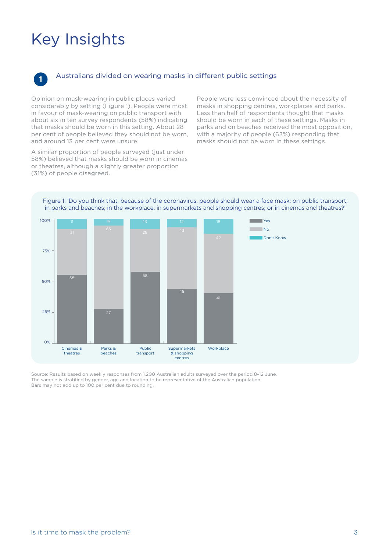## Key Insights



#### **<sup>1</sup>** Australians divided on wearing masks in different public settings

Opinion on mask-wearing in public places varied considerably by setting (Figure 1). People were most in favour of mask-wearing on public transport with about six in ten survey respondents (58%) indicating that masks should be worn in this setting. About 28 per cent of people believed they should not be worn, and around 13 per cent were unsure.

A similar proportion of people surveyed (just under 58%) believed that masks should be worn in cinemas or theatres, although a slightly greater proportion (31%) of people disagreed.

People were less convinced about the necessity of masks in shopping centres, workplaces and parks. Less than half of respondents thought that masks should be worn in each of these settings. Masks in parks and on beaches received the most opposition, with a majority of people (63%) responding that masks should not be worn in these settings.

Figure 1: 'Do you think that, because of the coronavirus, people should wear a face mask: on public transport; in parks and beaches; in the workplace; in supermarkets and shopping centres; or in cinemas and theatres?'



Source: Results based on weekly responses from 1,200 Australian adults surveyed over the period 8–12 June. The sample is stratified by gender, age and location to be representative of the Australian population. Bars may not add up to 100 per cent due to rounding.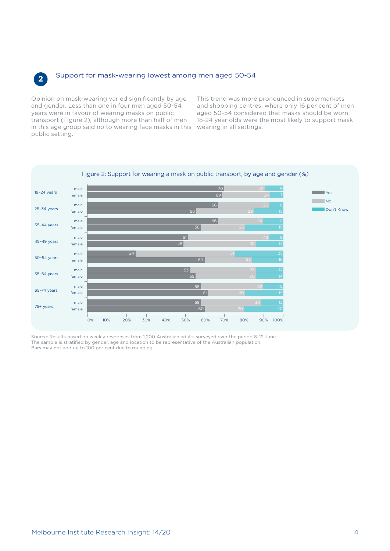

#### **<sup>2</sup>** Support for mask-wearing lowest among men aged 50-54

Opinion on mask-wearing varied significantly by age and gender. Less than one in four men aged 50-54 years were in favour of wearing masks on public transport (Figure 2), although more than half of men in this age group said no to wearing face masks in this wearing in all settings. public setting.

This trend was more pronounced in supermarkets and shopping centres, where only 16 per cent of men aged 50-54 considered that masks should be worn. 18-24 year olds were the most likely to support mask



#### Figure 2: Support for wearing a mask on public transport, by age and gender (%)

Source: Results based on weekly responses from 1,200 Australian adults surveyed over the period 8–12 June. The sample is stratified by gender, age and location to be representative of the Australian population. Bars may not add up to 100 per cent due to rounding.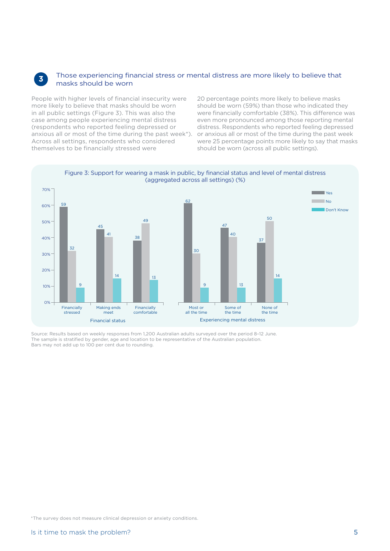#### **<sup>3</sup>** Those experiencing financial stress or mental distress are more likely to believe that masks should be worn

People with higher levels of financial insecurity were more likely to believe that masks should be worn in all public settings (Figure 3). This was also the case among people experiencing mental distress (respondents who reported feeling depressed or anxious all or most of the time during the past week\*). Across all settings, respondents who considered themselves to be financially stressed were

20 percentage points more likely to believe masks should be worn (59%) than those who indicated they were financially comfortable (38%). This difference was even more pronounced among those reporting mental distress. Respondents who reported feeling depressed or anxious all or most of the time during the past week were 25 percentage points more likely to say that masks should be worn (across all public settings).



Source: Results based on weekly responses from 1,200 Australian adults surveyed over the period 8–12 June. The sample is stratified by gender, age and location to be representative of the Australian population. Bars may not add up to 100 per cent due to rounding.

\*The survey does not measure clinical depression or anxiety conditions.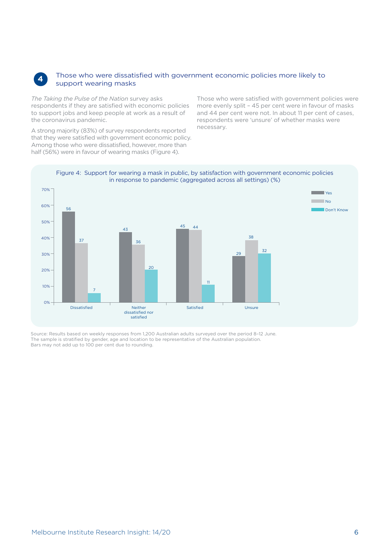

#### **4** Those who were dissatisfied with government economic policies more likely to support wearing masks

*The Taking the Pulse of the Nation* survey asks respondents if they are satisfied with economic policies to support jobs and keep people at work as a result of the coronavirus pandemic.

A strong majority (83%) of survey respondents reported that they were satisfied with government economic policy. Among those who were dissatisfied, however, more than half (56%) were in favour of wearing masks (Figure 4).

Those who were satisfied with government policies were more evenly split – 45 per cent were in favour of masks and 44 per cent were not. In about 11 per cent of cases, respondents were 'unsure' of whether masks were necessary.



Source: Results based on weekly responses from 1,200 Australian adults surveyed over the period 8–12 June. The sample is stratified by gender, age and location to be representative of the Australian population. Bars may not add up to 100 per cent due to rounding.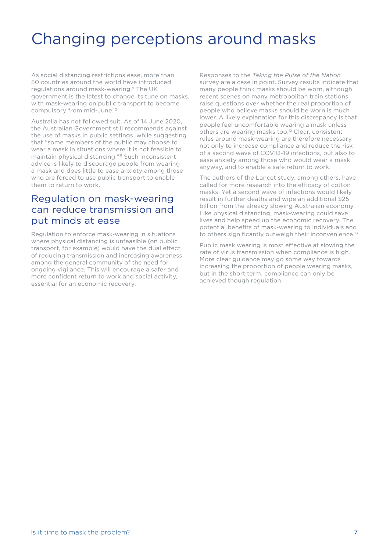### Changing perceptions around masks

As social distancing restrictions ease, more than 50 countries around the world have introduced regulations around mask-wearing.9 The UK government is the latest to change its tune on masks, with mask-wearing on public transport to become compulsory from mid-June.<sup>10</sup>

Australia has not followed suit. As of 14 June 2020, the Australian Government still recommends against the use of masks in public settings, while suggesting that "some members of the public may choose to wear a mask in situations where it is not feasible to maintain physical distancing."<sup>11</sup> Such inconsistent advice is likely to discourage people from wearing a mask and does little to ease anxiety among those who are forced to use public transport to enable them to return to work.

#### Regulation on mask-wearing can reduce transmission and put minds at ease

Regulation to enforce mask-wearing in situations where physical distancing is unfeasible (on public transport, for example) would have the dual effect of reducing transmission and increasing awareness among the general community of the need for ongoing vigilance. This will encourage a safer and more confident return to work and social activity, essential for an economic recovery.

Responses to the *Taking the Pulse of the Nation* survey are a case in point. Survey results indicate that many people think masks should be worn, although recent scenes on many metropolitan train stations raise questions over whether the real proportion of people who believe masks should be worn is much lower. A likely explanation for this discrepancy is that people feel uncomfortable wearing a mask unless others are wearing masks too.<sup>12</sup> Clear, consistent rules around mask-wearing are therefore necessary not only to increase compliance and reduce the risk of a second wave of COVID-19 infections, but also to ease anxiety among those who would wear a mask anyway, and to enable a safe return to work.

The authors of the Lancet study, among others, have called for more research into the efficacy of cotton masks. Yet a second wave of infections would likely result in further deaths and wipe an additional \$25 billion from the already slowing Australian economy. Like physical distancing, mask-wearing could save lives and help speed up the economic recovery. The potential benefits of mask-wearing to individuals and to others significantly outweigh their inconvenience.<sup>13</sup>

Public mask wearing is most effective at slowing the rate of virus transmission when compliance is high. More clear guidance may go some way towards increasing the proportion of people wearing masks, but in the short term, compliance can only be achieved though regulation.